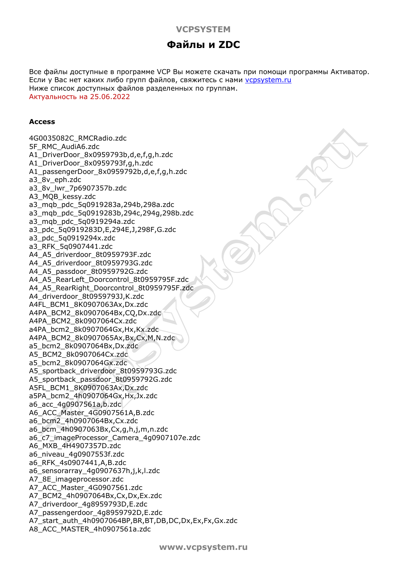# **VCPSYSTEM**

# **Файлы и ZDC**

Все файлы доступные в программе VCP Вы можете скачать при помощи программы Активатор. Если у Вас нет каких либо групп файлов, свяжитесь с нами [vcpsystem.ru](http://vcpsystem.ru/contacts.php) Ниже список доступных файлов разделенных по группам. Актуальность на 25.06.2022

#### **Access**

4G0035082C\_RMCRadio.zdc 5F\_RMC\_AudiA6.zdc A1\_DriverDoor\_8x0959793b,d,e,f,g,h.zdc A1\_DriverDoor\_8x0959793f,g,h.zdc A1\_passengerDoor\_8x0959792b,d,e,f,g,h.zdc a3\_8v\_eph.zdc a3\_8v\_lwr\_7p6907357b.zdc A3\_MQB\_kessy.zdc a3\_mqb\_pdc\_5q0919283a,294b,298a.zdc a3\_mqb\_pdc\_5q0919283b,294c,294g,298b.zdc a3\_mqb\_pdc\_5q0919294a.zdc a3\_pdc\_5q0919283D,E,294E,J,298F,G.zdc a3\_pdc\_5q0919294x.zdc a3\_RFK\_5q0907441.zdc A4\_A5\_driverdoor\_8t0959793F.zdc A4\_A5\_driverdoor\_8t0959793G.zdc A4\_A5\_passdoor\_8t0959792G.zdc A4\_A5\_RearLeft\_Doorcontrol\_8t0959795F.zdc A4\_A5\_RearRight\_Doorcontrol\_8t0959795F.zdc A4\_driverdoor\_8t0959793J,K.zdc A4FL\_BCM1\_8K0907063Ax,Dx.zdc A4PA\_BCM2\_8k0907064Bx,CQ,Dx.zdc A4PA\_BCM2\_8k0907064Cx.zdc a4PA\_bcm2\_8k0907064Gx,Hx,Kx.zdc A4PA\_BCM2\_8k0907065Ax,Bx,Cx,M,N.zdc a5\_bcm2\_8k0907064Bx,Dx.zdc A5\_BCM2\_8k0907064Cx.zdc a5\_bcm2\_8k0907064Gx.zdc A5\_sportback\_driverdoor\_8t0959793G.zdc A5\_sportback\_passdoor\_8t0959792G.zdc A5FL\_BCM1\_8K0907063Ax,Dx.zdc a5PA\_bcm2\_4h0907064Gx,Hx,Jx.zdc a6\_acc\_4g0907561a,b.zdc A6\_ACC\_Master\_4G0907561A,B.zdc a6\_bcm2\_4h0907064Bx,Cx.zdc a6\_bcm\_4h0907063Bx,Cx,g,h,j,m,n.zdc a6\_c7\_imageProcessor\_Camera\_4g0907107e.zdc A6\_MXB\_4H4907357D.zdc a6\_niveau\_4g0907553f.zdc a6\_RFK\_4s0907441,A,B.zdc a6\_sensorarray\_4g0907637h,j,k,l.zdc A7\_8E\_imageprocessor.zdc A7\_ACC\_Master\_4G0907561.zdc A7\_BCM2\_4h0907064Bx,Cx,Dx,Ex.zdc A7\_driverdoor\_4g8959793D,E.zdc A7\_passengerdoor\_4g8959792D,E.zdc A7\_start\_auth\_4h0907064BP,BR,BT,DB,DC,Dx,Ex,Fx,Gx.zdc A8\_ACC\_MASTER\_4h0907561a.zdc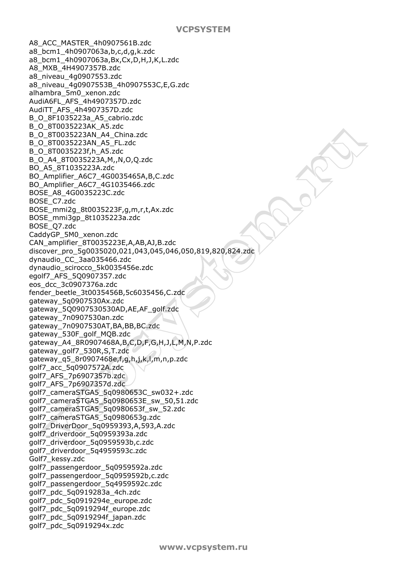A8\_ACC\_MASTER\_4h0907561B.zdc a8\_bcm1\_4h0907063a,b,c,d,g,k.zdc a8\_bcm1\_4h0907063a,Bx,Cx,D,H,J,K,L.zdc A8\_MXB\_4H4907357B.zdc a8\_niveau\_4g0907553.zdc a8\_niveau\_4g0907553B\_4h0907553C,E,G.zdc alhambra\_5m0\_xenon.zdc AudiA6FL\_AFS\_4h4907357D.zdc AudiTT\_AFS\_4h4907357D.zdc B\_O\_8F1035223a\_A5\_cabrio.zdc B\_O\_8T0035223AK\_A5.zdc B\_O\_8T0035223AN\_A4\_China.zdc B\_O\_8T0035223AN\_A5\_FL.zdc B\_O\_8T0035223f,h\_A5.zdc B\_O\_A4\_8T0035223A,M,,N,O,Q.zdc BO\_A5\_8T1035223A.zdc BO\_Amplifier\_A6C7\_4G0035465A,B,C.zdc BO\_Amplifier\_A6C7\_4G1035466.zdc BOSE\_A8\_4G0035223C.zdc BOSE\_C7.zdc BOSE\_mmi2g\_8t0035223F,g,m,r,t,Ax.zdc BOSE\_mmi3gp\_8t1035223a.zdc BOSE\_Q7.zdc CaddyGP\_5M0\_xenon.zdc CAN\_amplifier\_8T0035223E,A,AB,AJ,B.zdc discover\_pro\_5g0035020,021,043,045,046,050,819,820,824.zdc dynaudio\_CC\_3aa035466.zdc dynaudio\_scirocco\_5k0035456e.zdc egolf7\_AFS\_5Q0907357.zdc eos\_dcc\_3c0907376a.zdc fender\_beetle\_3t0035456B,5c6035456,C.zdc gateway\_5q0907530Ax.zdc gateway\_5Q0907530530AD,AE,AF\_golf.zdc gateway\_7n0907530an.zdc gateway\_7n0907530AT,BA,BB,BC.zdc gateway\_530F\_golf\_MQB.zdc gateway\_A4\_8R0907468A,B,C,D,F,G,H,J,L,M,N,P.zdc gateway\_golf7\_530R,S,T.zdc gateway\_q5\_8r0907468e,f,g,h,j,k,l,m,n,p.zdc golf7\_acc\_5q0907572A.zdc golf7\_AFS\_7p6907357b.zdc golf7\_AFS\_7p6907357d.zdc golf7\_cameraSTGA5\_5q0980653C\_sw032+.zdc golf7\_cameraSTGA5\_5q0980653E\_sw\_50,51.zdc golf7\_cameraSTGA5\_5q0980653f\_sw\_52.zdc golf7\_cameraSTGA5\_5q0980653g.zdc golf7\_DriverDoor\_5q0959393,A,593,A.zdc golf7\_driverdoor\_5q0959393a.zdc golf7\_driverdoor\_5q0959593b,c.zdc golf7\_driverdoor\_5q4959593c.zdc Golf7\_kessy.zdc golf7\_passengerdoor\_5q0959592a.zdc golf7\_passengerdoor\_5q0959592b,c.zdc golf7\_passengerdoor\_5q4959592c.zdc golf7\_pdc\_5q0919283a\_4ch.zdc golf7\_pdc\_5q0919294e\_europe.zdc golf7\_pdc\_5q0919294f\_europe.zdc golf7\_pdc\_5q0919294f\_japan.zdc golf7\_pdc\_5q0919294x.zdc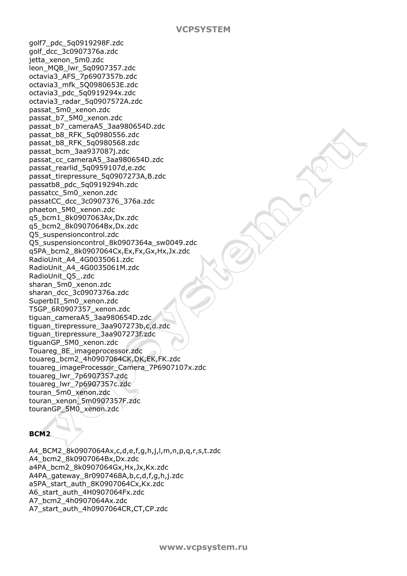golf7\_pdc\_5q0919298F.zdc golf\_dcc\_3c0907376a.zdc jetta\_xenon\_5m0.zdc leon\_MQB\_lwr\_5q0907357.zdc octavia3\_AFS\_7p6907357b.zdc octavia3\_mfk\_5Q0980653E.zdc octavia3\_pdc\_5q0919294x.zdc octavia3\_radar\_5q0907572A.zdc passat\_5m0\_xenon.zdc passat\_b7\_5M0\_xenon.zdc passat\_b7\_cameraA5\_3aa980654D.zdc passat\_b8\_RFK\_5q0980556.zdc passat\_b8\_RFK\_5q0980568.zdc passat\_bcm\_3aa937087j.zdc passat\_cc\_cameraA5\_3aa980654D.zdc passat\_rearlid\_5q0959107d,e.zdc passat\_tirepressure\_5q0907273A,B.zdc passatb8\_pdc\_5q0919294h.zdc passatcc\_5m0\_xenon.zdc passatCC\_dcc\_3c0907376\_376a.zdc phaeton\_5M0\_xenon.zdc q5\_bcm1\_8k0907063Ax,Dx.zdc q5\_bcm2\_8k0907064Bx,Dx.zdc Q5\_suspensioncontrol.zdc Q5\_suspensioncontrol\_8k0907364a\_sw0049.zdc q5PA\_bcm2\_8k0907064Cx,Ex,Fx,Gx,Hx,Jx.zdc RadioUnit\_A4\_4G0035061.zdc RadioUnit\_A4\_4G0035061M.zdc RadioUnit\_Q5\_.zdc sharan\_5m0\_xenon.zdc sharan\_dcc\_3c0907376a.zdc SuperbII\_5m0\_xenon.zdc T5GP\_6R0907357\_xenon.zdc tiguan\_cameraA5\_3aa980654D.zdc tiguan\_tirepressure\_3aa907273b,c,d.zdc tiguan\_tirepressure\_3aa907273f.zdc tiguanGP\_5M0\_xenon.zdc Touareg\_8E\_imageprocessor.zdc touareg\_bcm2\_4h0907064CK,DK,EK,FK.zdc touareg\_imageProcessor\_Camera\_7P6907107x.zdc touareg\_lwr\_7p6907357.zdc touareg\_lwr\_7p6907357c.zdc touran\_5m0\_xenon.zdc touran\_xenon\_5m0907357F.zdc touranGP\_5M0\_xenon.zdc

# **BCM2**

A4\_BCM2\_8k0907064Ax,c,d,e,f,g,h,j,l,m,n,p,q,r,s,t.zdc A4\_bcm2\_8k0907064Bx,Dx.zdc a4PA\_bcm2\_8k0907064Gx,Hx,Jx,Kx.zdc A4PA\_gateway\_8r0907468A,b,c,d,f,g,h,j.zdc a5PA\_start\_auth\_8K0907064Cx,Kx.zdc A6\_start\_auth\_4H0907064Fx.zdc A7\_bcm2\_4h0907064Ax.zdc A7\_start\_auth\_4h0907064CR,CT,CP.zdc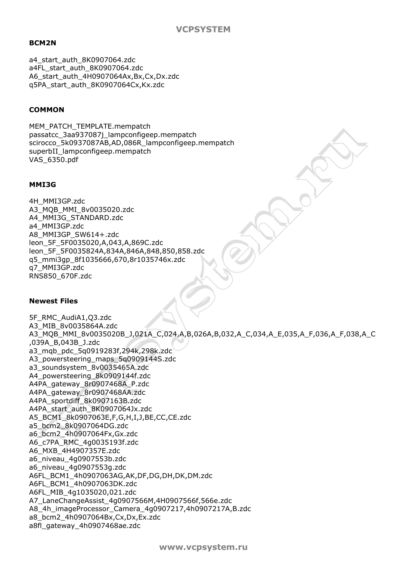## **BCM2N**

a4\_start\_auth\_8K0907064.zdc a4FL\_start\_auth\_8K0907064.zdc A6\_start\_auth\_4H0907064Ax,Bx,Cx,Dx.zdc q5PA\_start\_auth\_8K0907064Cx,Kx.zdc

## **COMMON**

MEM\_PATCH\_TEMPLATE.mempatch passatcc\_3aa937087j\_lampconfigeep.mempatch scirocco\_5k0937087AB,AD,086R\_lampconfigeep.mempatch superbII\_lampconfigeep.mempatch VAS\_6350.pdf

#### **MMI3G**

4H\_MMI3GP.zdc A3\_MQB\_MMI\_8v0035020.zdc A4\_MMI3G\_STANDARD.zdc a4\_MMI3GP.zdc A8\_MMI3GP\_SW614+.zdc leon\_5F\_5F0035020,A,043,A,869C.zdc leon\_5F\_5F0035824A,834A,846A,848,850,858.zdc q5\_mmi3gp\_8f1035666,670,8r1035746x.zdc q7\_MMI3GP.zdc RNS850\_670F.zdc

#### **Newest Files**

5F\_RMC\_AudiA1,Q3.zdc A3\_MIB\_8v0035864A.zdc A3\_MQB\_MMI\_8v0035020B\_J,021A\_C,024,A,B,026A,B,032,A\_C,034,A\_E,035,A\_F,036,A\_F,038,A\_C ,039A\_B,043B\_J.zdc a3\_mqb\_pdc\_5q0919283f,294k,298k.zdc A3 powersteering maps 5q0909144S.zdc a3 soundsystem 8v0035465A.zdc A4\_powersteering\_8k0909144f.zdc A4PA\_gateway\_8r0907468A\_P.zdc A4PA\_gateway\_8r0907468AA.zdc A4PA\_sportdiff\_8k0907163B.zdc A4PA\_start\_auth\_8K0907064Jx.zdc A5\_BCM1\_8k0907063E,F,G,H,I,J,BE,CC,CE.zdc a5\_bcm2\_8k0907064DG.zdc a6\_bcm2\_4h0907064Fx,Gx.zdc A6\_c7PA\_RMC\_4g0035193f.zdc A6\_MXB\_4H4907357E.zdc a6\_niveau\_4g0907553b.zdc a6\_niveau\_4g0907553g.zdc A6FL\_BCM1\_4h0907063AG,AK,DF,DG,DH,DK,DM.zdc A6FL\_BCM1\_4h0907063DK.zdc A6FL\_MIB\_4g1035020,021.zdc A7\_LaneChangeAssist\_4g0907566M,4H0907566f,566e.zdc A8\_4h\_imageProcessor\_Camera\_4g0907217,4h0907217A,B.zdc a8\_bcm2\_4h0907064Bx,Cx,Dx,Ex.zdc a8fl\_gateway\_4h0907468ae.zdc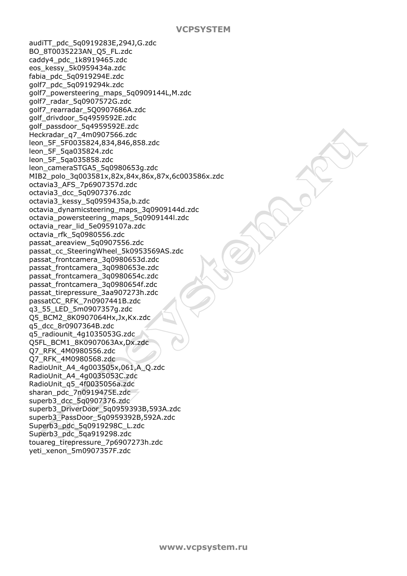audiTT\_pdc\_5q0919283E,294J,G.zdc BO\_8T0035223AN\_Q5\_FL.zdc caddy4\_pdc\_1k8919465.zdc eos\_kessy\_5k0959434a.zdc fabia\_pdc\_5q0919294E.zdc golf7\_pdc\_5q0919294k.zdc golf7\_powersteering\_maps\_5q0909144L,M.zdc golf7\_radar\_5q0907572G.zdc golf7\_rearradar\_5Q0907686A.zdc golf\_drivdoor\_5q4959592E.zdc golf\_passdoor\_5q4959592E.zdc Heckradar\_q7\_4m0907566.zdc leon\_5F\_5F0035824,834,846,858.zdc leon\_5F\_5qa035824.zdc leon\_5F\_5qa035858.zdc leon\_cameraSTGA5\_5q0980653g.zdc MIB2\_polo\_3q003581x,82x,84x,86x,87x,6c003586x.zdc octavia3\_AFS\_7p6907357d.zdc octavia3\_dcc\_5q0907376.zdc octavia3\_kessy\_5q0959435a,b.zdc octavia\_dynamicsteering\_maps\_3q0909144d.zdc octavia\_powersteering\_maps\_5q0909144l.zdc octavia\_rear\_lid\_5e0959107a.zdc octavia\_rfk\_5q0980556.zdc passat\_areaview\_5q0907556.zdc passat\_cc\_SteeringWheel\_5k0953569AS.zdc passat\_frontcamera\_3q0980653d.zdc passat\_frontcamera\_3q0980653e.zdc passat\_frontcamera\_3q0980654c.zdc passat\_frontcamera\_3q0980654f.zdc passat\_tirepressure\_3aa907273h.zdc passatCC\_RFK\_7n0907441B.zdc q3\_55\_LED\_5m0907357g.zdc Q5\_BCM2\_8K0907064Hx,Jx,Kx.zdc q5\_dcc\_8r0907364B.zdc q5\_radiounit\_4g1035053G.zdc Q5FL\_BCM1\_8K0907063Ax,Dx.zdc Q7\_RFK\_4M0980556.zdc Q7\_RFK\_4M0980568.zdc RadioUnit\_A4\_4g003505x,061,A\_Q.zdc RadioUnit\_A4\_4g0035053C.zdc RadioUnit\_q5\_4f0035056a.zdc sharan\_pdc\_7n0919475E.zdc superb3\_dcc\_5q0907376.zdc superb3\_DriverDoor\_5q0959393B,593A.zdc superb3\_PassDoor\_5q0959392B,592A.zdc Superb3\_pdc\_5q0919298C\_L.zdc Superb3\_pdc\_5qa919298.zdc touareg\_tirepressure\_7p6907273h.zdc yeti\_xenon\_5m0907357F.zdc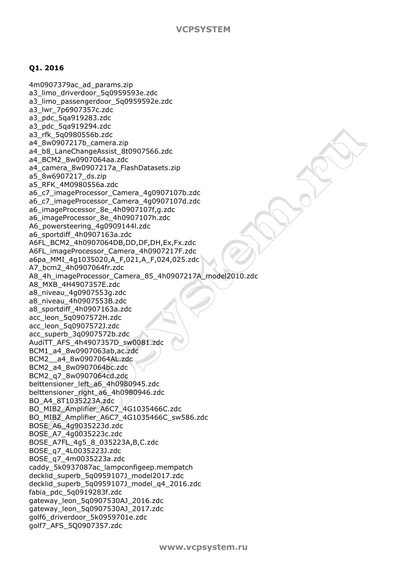#### **Q1. 2016**

4m0907379ac\_ad\_params.zip a3 limo driverdoor 5q0959593e.zdc a3 limo passengerdoor 5q0959592e.zdc a3\_lwr\_7p6907357c.zdc a3\_pdc\_5qa919283.zdc a3\_pdc\_5qa919294.zdc a3\_rfk\_5q0980556b.zdc a4\_8w0907217b\_camera.zip a4\_b8\_LaneChangeAssist\_8t0907566.zdc a4\_BCM2\_8w0907064aa.zdc a4\_camera\_8w0907217a\_FlashDatasets.zip a5\_8w6907217\_ds.zip a5\_RFK\_4M0980556a.zdc a6\_c7\_imageProcessor\_Camera\_4g0907107b.zdc a6\_c7\_imageProcessor\_Camera\_4g0907107d.zdc a6\_imageProcessor\_8e\_4h0907107f,g.zdc a6\_imageProcessor\_8e\_4h0907107h.zdc A6\_powersteering\_4g0909144l.zdc a6\_sportdiff\_4h0907163a.zdc A6FL\_BCM2\_4h0907064DB,DD,DF,DH,Ex,Fx.zdc A6FL\_imageProcessor\_Camera\_4h0907217F.zdc a6pa\_MMI\_4g1035020,A\_F,021,A\_F,024,025.zdc A7\_bcm2\_4h0907064fr.zdc A8\_4h\_imageProcessor\_Camera\_85\_4h0907217A\_model2010.zdc A8\_MXB\_4H4907357E.zdc a8\_niveau\_4g0907553g.zdc a8\_niveau\_4h0907553B.zdc a8\_sportdiff\_4h0907163a.zdc acc\_leon\_5q0907572H.zdc acc\_leon\_5q0907572J.zdc acc\_superb\_3q0907572b.zdc AudiTT\_AFS\_4h4907357D\_sw0081.zdc BCM1\_a4\_8w0907063ab,ac.zdc BCM2\_\_a4\_8w0907064AL.zdc BCM2\_a4\_8w0907064bc.zdc BCM2\_q7\_8w0907064cd.zdc belttensioner\_left\_a6\_4h0980945.zdc belttensioner\_right\_a6\_4h0980946.zdc BO\_A4\_8T1035223A.zdc BO\_MIB2\_Amplifier\_A6C7\_4G1035466C.zdc BO\_MIB2\_Amplifier\_A6C7\_4G1035466C\_sw586.zdc BOSE\_A6\_4g9035223d.zdc BOSE\_A7\_4g0035223c.zdc BOSE\_A7FL\_4g5\_8\_035223A,B,C.zdc BOSE\_q7\_4L0035223J.zdc BOSE\_q7\_4m0035223a.zdc caddy\_5k0937087ac\_lampconfigeep.mempatch decklid\_superb\_5q0959107J\_model2017.zdc decklid\_superb\_5q0959107J\_model\_q4\_2016.zdc fabia\_pdc\_5q0919283f.zdc gateway\_leon\_5q0907530AJ\_2016.zdc gateway\_leon\_5q0907530AJ\_2017.zdc golf6\_driverdoor\_5k0959701e.zdc golf7\_AFS\_5Q0907357.zdc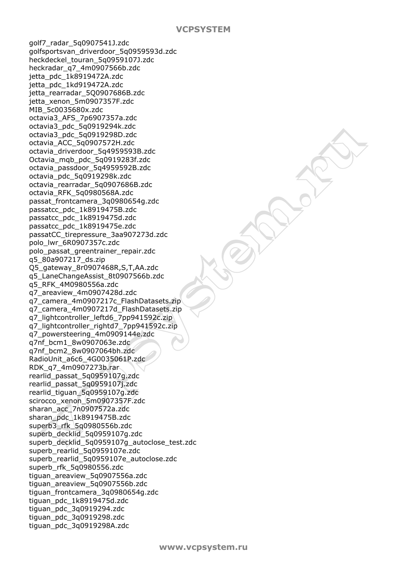golf7\_radar\_5q0907541J.zdc golfsportsvan\_driverdoor\_5q0959593d.zdc heckdeckel\_touran\_5q0959107J.zdc heckradar\_q7\_4m0907566b.zdc jetta\_pdc\_1k8919472A.zdc jetta\_pdc\_1kd919472A.zdc jetta rearradar 5Q0907686B.zdc jetta\_xenon\_5m0907357F.zdc MIB\_5c0035680x.zdc octavia3\_AFS\_7p6907357a.zdc octavia3\_pdc\_5q0919294k.zdc octavia3\_pdc\_5q0919298D.zdc octavia\_ACC\_5q0907572H.zdc octavia\_driverdoor\_5q4959593B.zdc Octavia\_mqb\_pdc\_5q0919283f.zdc octavia\_passdoor\_5q4959592B.zdc octavia\_pdc\_5q0919298k.zdc octavia\_rearradar\_5q0907686B.zdc octavia\_RFK\_5q0980568A.zdc passat\_frontcamera\_3q0980654g.zdc passatcc\_pdc\_1k8919475B.zdc passatcc\_pdc\_1k8919475d.zdc passatcc\_pdc\_1k8919475e.zdc passatCC\_tirepressure\_3aa907273d.zdc polo\_lwr\_6R0907357c.zdc polo\_passat\_greentrainer\_repair.zdc q5\_80a907217\_ds.zip Q5\_gateway\_8r0907468R,S,T,AA.zdc q5\_LaneChangeAssist\_8t0907566b.zdc q5\_RFK\_4M0980556a.zdc q7\_areaview\_4m0907428d.zdc q7\_camera\_4m0907217c\_FlashDatasets.zip q7\_camera\_4m0907217d\_FlashDatasets.zip q7\_lightcontroller\_leftd6\_7pp941592c.zip q7\_lightcontroller\_rightd7\_7pp941592c.zip q7\_powersteering\_4m0909144e.zdc q7nf\_bcm1\_8w0907063e.zdc q7nf\_bcm2\_8w0907064bh.zdc RadioUnit\_a6c6\_4G0035061P.zdc RDK\_q7\_4m0907273b.rar rearlid\_passat\_5q0959107g.zdc rearlid\_passat\_5q0959107j.zdc rearlid\_tiguan\_5q0959107g.zdc scirocco\_xenon\_5m0907357F.zdc sharan\_acc\_7n0907572a.zdc sharan\_pdc\_1k8919475B.zdc superb3\_rfk\_5q0980556b.zdc superb\_decklid\_5q0959107g.zdc superb\_decklid\_5q0959107q\_autoclose\_test.zdc superb rearlid 5q0959107e.zdc superb\_rearlid\_5q0959107e\_autoclose.zdc superb\_rfk\_5q0980556.zdc tiguan\_areaview\_5q0907556a.zdc tiguan\_areaview\_5q0907556b.zdc tiguan\_frontcamera\_3q0980654g.zdc tiguan\_pdc\_1k8919475d.zdc tiguan\_pdc\_3q0919294.zdc tiguan\_pdc\_3q0919298.zdc tiguan\_pdc\_3q0919298A.zdc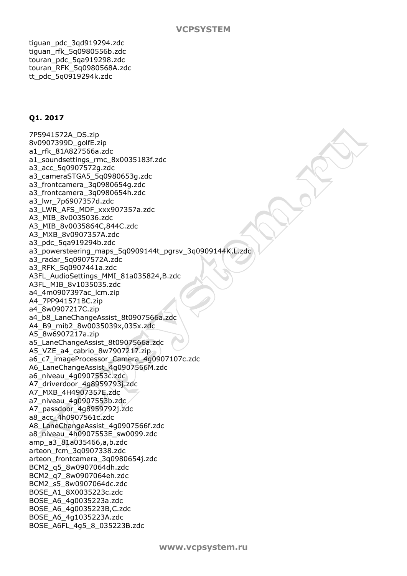tiguan\_pdc\_3qd919294.zdc tiguan\_rfk\_5q0980556b.zdc touran\_pdc\_5qa919298.zdc touran\_RFK\_5q0980568A.zdc tt\_pdc\_5q0919294k.zdc

# **Q1. 2017**

7P5941572A\_DS.zip 8v0907399D\_golfE.zip a1\_rfk\_81A827566a.zdc a1\_soundsettings\_rmc\_8x0035183f.zdc a3\_acc\_5q0907572g.zdc a3\_cameraSTGA5\_5q0980653g.zdc a3\_frontcamera\_3q0980654g.zdc a3\_frontcamera\_3q0980654h.zdc a3\_lwr\_7p6907357d.zdc a3\_LWR\_AFS\_MDF\_xxx907357a.zdc A3\_MIB\_8v0035036.zdc A3\_MIB\_8v0035864C,844C.zdc A3\_MXB\_8v0907357A.zdc a3\_pdc\_5qa919294b.zdc a3\_powersteering\_maps\_5q0909144t\_pgrsv\_3q0909144K,L.zdc a3\_radar\_5q0907572A.zdc a3\_RFK\_5q0907441a.zdc A3FL\_AudioSettings\_MMI\_81a035824,B.zdc A3FL\_MIB\_8v1035035.zdc a4\_4m0907397ac\_lcm.zip A4\_7PP941571BC.zip a4\_8w0907217C.zip a4\_b8\_LaneChangeAssist\_8t0907566a.zdc A4\_B9\_mib2\_8w0035039x,035x.zdc A5\_8w6907217a.zip a5\_LaneChangeAssist\_8t0907566a.zdc A5\_VZE\_a4\_cabrio\_8w7907217.zip a6\_c7\_imageProcessor\_Camera\_4g0907107c.zdc A6\_LaneChangeAssist\_4g0907566M.zdc a6\_niveau\_4g0907553c.zdc A7\_driverdoor\_4g8959793j.zdc A7\_MXB\_4H4907357E.zdc a7\_niveau\_4g0907553b.zdc A7\_passdoor\_4g8959792j.zdc a8\_acc\_4h0907561c.zdc A8\_LaneChangeAssist\_4g0907566f.zdc a8\_niveau\_4h0907553E\_sw0099.zdc amp\_a3\_81a035466,a,b.zdc arteon\_fcm\_3q0907338.zdc arteon\_frontcamera\_3q0980654j.zdc BCM2\_q5\_8w0907064dh.zdc BCM2\_q7\_8w0907064eh.zdc BCM2\_s5\_8w0907064dc.zdc BOSE\_A1\_8X0035223c.zdc BOSE\_A6\_4g0035223a.zdc BOSE\_A6\_4g0035223B,C.zdc BOSE\_A6\_4g1035223A.zdc BOSE\_A6FL\_4g5\_8\_035223B.zdc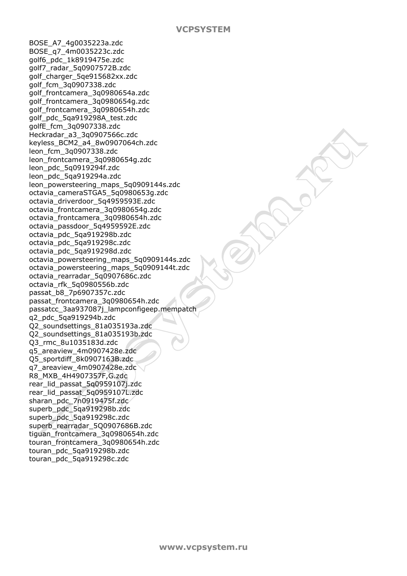BOSE\_A7\_4g0035223a.zdc BOSE\_q7\_4m0035223c.zdc golf6\_pdc\_1k8919475e.zdc golf7\_radar\_5q0907572B.zdc golf\_charger\_5qe915682xx.zdc golf\_fcm\_3q0907338.zdc golf\_frontcamera\_3q0980654a.zdc golf\_frontcamera\_3q0980654g.zdc golf\_frontcamera\_3q0980654h.zdc golf\_pdc\_5qa919298A\_test.zdc golfE\_fcm\_3q0907338.zdc Heckradar\_a3\_3q0907566c.zdc keyless\_BCM2\_a4\_8w0907064ch.zdc leon\_fcm\_3q0907338.zdc leon\_frontcamera\_3q0980654g.zdc leon\_pdc\_5q0919294f.zdc leon\_pdc\_5qa919294a.zdc leon\_powersteering\_maps\_5q0909144s.zdc octavia\_cameraSTGA5\_5q0980653g.zdc octavia\_driverdoor\_5q4959593E.zdc octavia\_frontcamera\_3q0980654g.zdc octavia\_frontcamera\_3q0980654h.zdc octavia\_passdoor\_5q4959592E.zdc octavia\_pdc\_5qa919298b.zdc octavia\_pdc\_5qa919298c.zdc octavia\_pdc\_5qa919298d.zdc octavia\_powersteering\_maps\_5q0909144s.zdc octavia\_powersteering\_maps\_5q0909144t.zdc octavia\_rearradar\_5q0907686c.zdc octavia\_rfk\_5q0980556b.zdc passat\_b8\_7p6907357c.zdc passat\_frontcamera\_3q0980654h.zdc passatcc\_3aa937087j\_lampconfigeep.mempatch q2\_pdc\_5qa919294b.zdc Q2\_soundsettings\_81a035193a.zdc Q2\_soundsettings\_81a035193b.zdc Q3\_rmc\_8u1035183d.zdc q5\_areaview\_4m0907428e.zdc Q5\_sportdiff\_8k0907163B.zdc q7\_areaview\_4m0907428e.zdc R8\_MXB\_4H4907357F,G.zdc rear\_lid\_passat\_5q0959107j.zdc rear\_lid\_passat\_5q0959107L.zdc sharan\_pdc\_7n0919475f.zdc superb\_pdc\_5ga919298b.zdc superb\_pdc\_5qa919298c.zdc superb\_rearradar\_5Q0907686B.zdc tiguan\_frontcamera\_3q0980654h.zdc touran\_frontcamera\_3q0980654h.zdc touran\_pdc\_5qa919298b.zdc touran\_pdc\_5qa919298c.zdc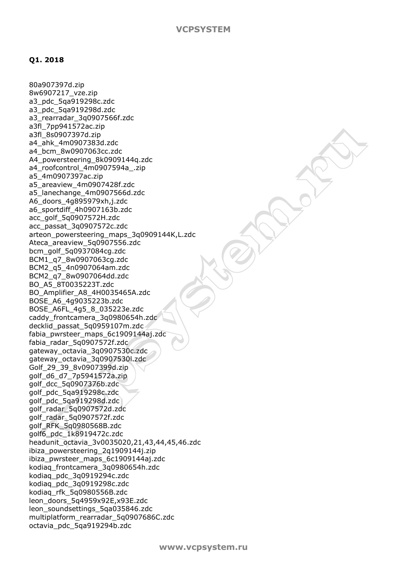#### **Q1. 2018**

80a907397d.zip 8w6907217\_vze.zip a3\_pdc\_5qa919298c.zdc a3\_pdc\_5qa919298d.zdc a3\_rearradar\_3q0907566f.zdc a3fl\_7pp941572ac.zip a3fl\_8s0907397d.zip a4\_ahk\_4m0907383d.zdc a4\_bcm\_8w0907063cc.zdc A4\_powersteering\_8k0909144q.zdc a4\_roofcontrol\_4m0907594a\_.zip a5\_4m0907397ac.zip a5\_areaview\_4m0907428f.zdc a5\_lanechange\_4m0907566d.zdc A6\_doors\_4g895979xh,j.zdc a6\_sportdiff\_4h0907163b.zdc acc\_golf\_5q0907572H.zdc acc\_passat\_3q0907572c.zdc arteon\_powersteering\_maps\_3q0909144K,L.zdc Ateca\_areaview\_5q0907556.zdc bcm\_golf\_5q0937084cg.zdc BCM1\_q7\_8w0907063cg.zdc BCM2\_q5\_4n0907064am.zdc BCM2\_q7\_8w0907064dd.zdc BO\_A5\_8T0035223T.zdc BO\_Amplifier\_A8\_4H0035465A.zdc BOSE\_A6\_4g9035223b.zdc BOSE\_A6FL\_4g5\_8\_035223e.zdc caddy\_frontcamera\_3q0980654h.zdc decklid\_passat\_5q0959107m.zdc fabia\_pwrsteer\_maps\_6c1909144aj.zdc fabia\_radar\_5q0907572f.zdc gateway\_octavia\_3q0907530c.zdc gateway\_octavia\_3q0907530l.zdc Golf\_29\_39\_8v0907399d.zip golf\_d6\_d7\_7p5941572a.zip golf\_dcc\_5q0907376b.zdc golf\_pdc\_5qa919298c.zdc golf\_pdc\_5qa919298d.zdc golf\_radar\_5q0907572d.zdc golf\_radar\_5q0907572f.zdc golf\_RFK\_5q0980568B.zdc golf6\_pdc\_1k8919472c.zdc headunit\_octavia\_3v0035020,21,43,44,45,46.zdc ibiza\_powersteering\_2q1909144j.zip ibiza\_pwrsteer\_maps\_6c1909144aj.zdc kodiaq\_frontcamera\_3q0980654h.zdc kodiaq\_pdc\_3q0919294c.zdc kodiaq\_pdc\_3q0919298c.zdc kodiaq\_rfk\_5q0980556B.zdc leon\_doors\_5q4959x92E,x93E.zdc leon\_soundsettings\_5qa035846.zdc multiplatform\_rearradar\_5q0907686C.zdc octavia\_pdc\_5qa919294b.zdc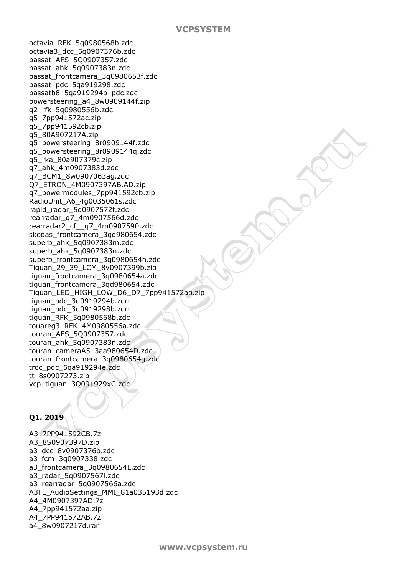octavia\_RFK\_5q0980568b.zdc octavia3\_dcc\_5q0907376b.zdc passat\_AFS\_5Q0907357.zdc passat\_ahk\_5q0907383n.zdc passat\_frontcamera\_3q0980653f.zdc passat\_pdc\_5qa919298.zdc passatb8\_5qa919294b\_pdc.zdc powersteering\_a4\_8w0909144f.zip q2\_rfk\_5q0980556b.zdc q5\_7pp941572ac.zip q5\_7pp941592cb.zip q5\_80A907217A.zip q5\_powersteering\_8r0909144f.zdc q5\_powersteering\_8r0909144q.zdc q5\_rka\_80a907379c.zip q7\_ahk\_4m0907383d.zdc q7\_BCM1\_8w0907063ag.zdc Q7\_ETRON\_4M0907397AB,AD.zip q7\_powermodules\_7pp941592cb.zip RadioUnit\_A6\_4g0035061s.zdc rapid\_radar\_5q0907572f.zdc rearradar\_q7\_4m0907566d.zdc rearradar2\_cf\_\_q7\_4m0907590.zdc skodas\_frontcamera\_3qd980654.zdc superb\_ahk\_5q0907383m.zdc superb\_ahk\_5q0907383n.zdc superb frontcamera 3q0980654h.zdc Tiguan\_29\_39\_LCM\_8v0907399b.zip tiguan\_frontcamera\_3q0980654a.zdc tiguan\_frontcamera\_3qd980654.zdc Tiguan\_LED\_HIGH\_LOW\_D6\_D7\_7pp941572ab.zip tiguan\_pdc\_3q0919294b.zdc tiguan\_pdc\_3q0919298b.zdc tiguan\_RFK\_5q0980568b.zdc touareg3\_RFK\_4M0980556a.zdc touran\_AFS\_5Q0907357.zdc touran\_ahk\_5q0907383n.zdc touran\_cameraA5\_3aa980654D.zdc touran\_frontcamera\_3q0980654g.zdc troc\_pdc\_5qa919294e.zdc tt\_8s0907273.zip vcp\_tiguan\_3Q091929xC.zdc

# **Q1. 2019**

A3\_7PP941592CB.7z A3\_8S0907397D.zip a3\_dcc\_8v0907376b.zdc a3\_fcm\_3q0907338.zdc a3\_frontcamera\_3q0980654L.zdc a3\_radar\_5q0907567l.zdc a3 rearradar 5q0907566a.zdc A3FL\_AudioSettings\_MMI\_81a035193d.zdc A4\_4M0907397AD.7z A4\_7pp941572aa.zip A4\_7PP941572AB.7z a4\_8w0907217d.rar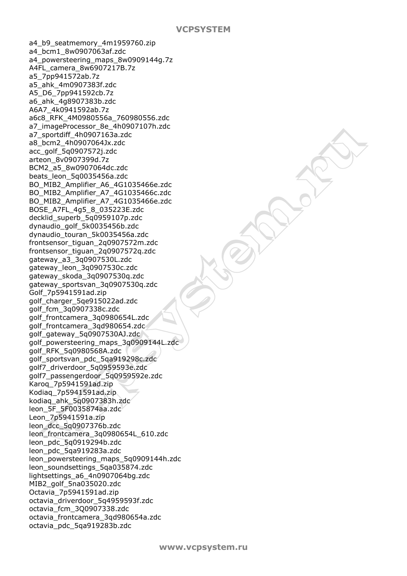a4\_b9\_seatmemory\_4m1959760.zip a4\_bcm1\_8w0907063af.zdc a4\_powersteering\_maps\_8w0909144g.7z A4FL\_camera\_8w6907217B.7z a5\_7pp941572ab.7z a5\_ahk\_4m0907383f.zdc A5\_D6\_7pp941592cb.7z a6\_ahk\_4g8907383b.zdc A6A7\_4k0941592ab.7z a6c8\_RFK\_4M0980556a\_760980556.zdc a7\_imageProcessor\_8e\_4h0907107h.zdc a7\_sportdiff\_4h0907163a.zdc a8\_bcm2\_4h0907064Jx.zdc acc\_golf\_5q0907572j.zdc arteon\_8v0907399d.7z BCM2\_a5\_8w0907064dc.zdc beats\_leon\_5q0035456a.zdc BO\_MIB2\_Amplifier\_A6\_4G1035466e.zdc BO\_MIB2\_Amplifier\_A7\_4G1035466c.zdc BO\_MIB2\_Amplifier\_A7\_4G1035466e.zdc BOSE\_A7FL\_4g5\_8\_035223E.zdc decklid\_superb\_5q0959107p.zdc dynaudio\_golf\_5k0035456b.zdc dynaudio\_touran\_5k0035456a.zdc frontsensor\_tiguan\_2q0907572m.zdc frontsensor\_tiguan\_2q0907572q.zdc gateway\_a3\_3q0907530L.zdc gateway\_leon\_3q0907530c.zdc gateway\_skoda\_3q0907530q.zdc gateway\_sportsvan\_3q0907530q.zdc Golf\_7p5941591ad.zip golf\_charger\_5qe915022ad.zdc golf\_fcm\_3q0907338c.zdc golf\_frontcamera\_3q0980654L.zdc golf frontcamera\_3gd980654.zdc golf\_gateway\_5q0907530AJ.zdc golf\_powersteering\_maps\_3q0909144L.zdc golf\_RFK\_5q0980568A.zdc golf\_sportsvan\_pdc\_5qa919298c.zdc golf7\_driverdoor\_5q0959593e.zdc golf7\_passengerdoor\_5q0959592e.zdc Karoq\_7p5941591ad.zip Kodiaq\_7p5941591ad.zip kodiaq\_ahk\_5q0907383h.zdc leon\_5F\_5F0035874aa.zdc Leon\_7p5941591a.zip leon\_dcc\_5q0907376b.zdc leon\_frontcamera\_3q0980654L\_610.zdc leon\_pdc\_5q0919294b.zdc leon\_pdc\_5qa919283a.zdc leon\_powersteering\_maps\_5q0909144h.zdc leon\_soundsettings\_5qa035874.zdc lightsettings\_a6\_4n0907064bg.zdc MIB2\_golf\_5na035020.zdc Octavia\_7p5941591ad.zip octavia\_driverdoor\_5q4959593f.zdc octavia\_fcm\_3Q0907338.zdc octavia\_frontcamera\_3qd980654a.zdc octavia\_pdc\_5qa919283b.zdc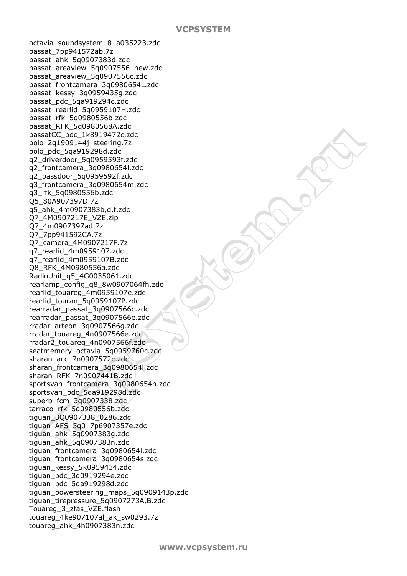octavia\_soundsystem\_81a035223.zdc passat\_7pp941572ab.7z passat\_ahk\_5q0907383d.zdc passat\_areaview\_5q0907556\_new.zdc passat\_areaview\_5q0907556c.zdc passat\_frontcamera\_3q0980654L.zdc passat\_kessy\_3q0959435g.zdc passat\_pdc\_5qa919294c.zdc passat\_rearlid\_5q0959107H.zdc passat\_rfk\_5q0980556b.zdc passat\_RFK\_5q0980568A.zdc passatCC\_pdc\_1k8919472c.zdc polo\_2q1909144j\_steering.7z polo\_pdc\_5qa919298d.zdc q2\_driverdoor\_5q0959593f.zdc q2\_frontcamera\_3q0980654l.zdc q2\_passdoor\_5q0959592f.zdc q3\_frontcamera\_3q0980654m.zdc q3\_rfk\_5q0980556b.zdc Q5\_80A907397D.7z q5\_ahk\_4m0907383b,d,f.zdc Q7\_4M0907217E\_VZE.zip Q7\_4m0907397ad.7z Q7\_7pp941592CA.7z Q7\_camera\_4M0907217F.7z q7\_rearlid\_4m0959107.zdc q7\_rearlid\_4m0959107B.zdc Q8\_RFK\_4M0980556a.zdc RadioUnit\_q5\_4G0035061.zdc rearlamp\_config\_q8\_8w0907064fh.zdc rearlid\_touareg\_4m0959107e.zdc rearlid\_touran\_5q0959107P.zdc rearradar\_passat\_3q0907566c.zdc rearradar\_passat\_3q0907566e.zdc rradar\_arteon\_3q0907566g.zdc rradar touareg 4n0907566e.zdc rradar2\_touareg\_4n0907566f.zdc seatmemory\_octavia\_5q0959760c.zdc sharan\_acc\_7n0907572c.zdc sharan\_frontcamera\_3q0980654l.zdc sharan\_RFK\_7n0907441B.zdc sportsvan\_frontcamera\_3q0980654h.zdc sportsvan\_pdc\_5qa919298d.zdc superb\_fcm\_3q0907338.zdc tarraco\_rfk\_5q0980556b.zdc tiguan\_3Q0907338\_0286.zdc tiguan\_AFS\_5q0\_7p6907357e.zdc tiguan\_ahk\_5q0907383g.zdc tiguan\_ahk\_5q0907383n.zdc tiguan\_frontcamera\_3q0980654l.zdc tiguan\_frontcamera\_3q0980654s.zdc tiguan\_kessy\_5k0959434.zdc tiguan\_pdc\_3q0919294e.zdc tiguan\_pdc\_5qa919298d.zdc tiguan\_powersteering\_maps\_5q0909143p.zdc tiguan\_tirepressure\_5q0907273A,B.zdc Touareg\_3\_zfas\_VZE.flash touareg\_4ke907107al\_ak\_sw0293.7z touareg\_ahk\_4h0907383n.zdc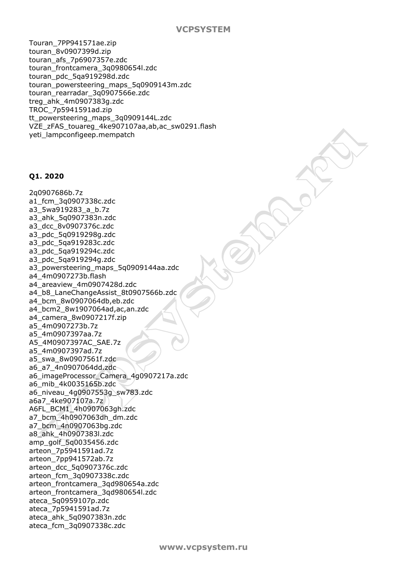Touran\_7PP941571ae.zip touran\_8v0907399d.zip touran\_afs\_7p6907357e.zdc touran\_frontcamera\_3q0980654l.zdc touran\_pdc\_5qa919298d.zdc touran\_powersteering\_maps\_5q0909143m.zdc touran\_rearradar\_3q0907566e.zdc treg\_ahk\_4m0907383g.zdc TROC\_7p5941591ad.zip tt\_powersteering\_maps\_3q0909144L.zdc VZE\_zFAS\_touareg\_4ke907107aa,ab,ac\_sw0291.flash yeti\_lampconfigeep.mempatch

#### **Q1. 2020**

2q0907686b.7z a1\_fcm\_3q0907338c.zdc a3\_5wa919283\_a\_b.7z a3\_ahk\_5q0907383n.zdc a3\_dcc\_8v0907376c.zdc a3\_pdc\_5q0919298g.zdc a3\_pdc\_5qa919283c.zdc a3\_pdc\_5qa919294c.zdc a3\_pdc\_5qa919294g.zdc a3 powersteering maps 5q0909144aa.zdc a4\_4m0907273b.flash a4\_areaview\_4m0907428d.zdc a4\_b8\_LaneChangeAssist\_8t0907566b.zdc a4\_bcm\_8w0907064db,eb.zdc a4\_bcm2\_8w1907064ad,ac,an.zdc a4\_camera\_8w0907217f.zip a5\_4m0907273b.7z a5\_4m0907397aa.7z A5\_4M0907397AC\_SAE.7z a5\_4m0907397ad.7z a5\_swa\_8w0907561f.zdc a6\_a7\_4n0907064dd.zdc a6\_imageProcessor\_Camera\_4g0907217a.zdc a6\_mib\_4k0035165b.zdc a6\_niveau\_4g0907553g\_sw783.zdc a6a7\_4ke907107a.7z A6FL\_BCM1\_4h0907063gh.zdc a7\_bcm\_4h0907063dh\_dm.zdc a7\_bcm\_4n0907063bg.zdc a8\_ahk\_4h0907383l.zdc amp\_golf\_5q0035456.zdc arteon\_7p5941591ad.7z arteon\_7pp941572ab.7z arteon\_dcc\_5q0907376c.zdc arteon\_fcm\_3q0907338c.zdc arteon\_frontcamera\_3qd980654a.zdc arteon\_frontcamera\_3qd980654l.zdc ateca\_5q0959107p.zdc ateca\_7p5941591ad.7z ateca\_ahk\_5q0907383n.zdc ateca\_fcm\_3q0907338c.zdc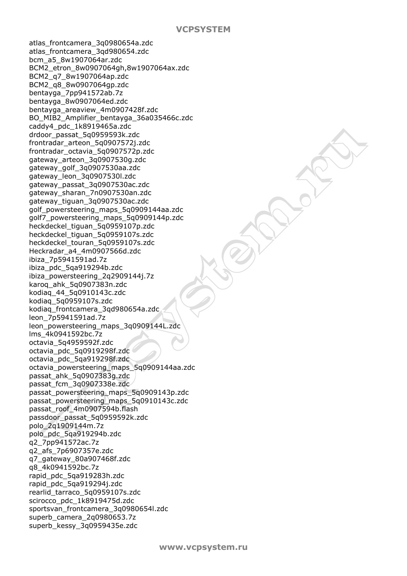atlas\_frontcamera\_3q0980654a.zdc atlas\_frontcamera\_3qd980654.zdc bcm\_a5\_8w1907064ar.zdc BCM2\_etron\_8w0907064gh,8w1907064ax.zdc BCM2\_q7\_8w1907064ap.zdc BCM2\_q8\_8w0907064gp.zdc bentayga\_7pp941572ab.7z bentayga\_8w0907064ed.zdc bentayga\_areaview\_4m0907428f.zdc BO\_MIB2\_Amplifier\_bentayga\_36a035466c.zdc caddy4\_pdc\_1k8919465a.zdc drdoor\_passat\_5q0959593k.zdc frontradar\_arteon\_5q0907572j.zdc frontradar\_octavia\_5q0907572p.zdc gateway\_arteon\_3q0907530g.zdc gateway\_golf\_3q0907530aa.zdc gateway\_leon\_3q0907530l.zdc gateway\_passat\_3q0907530ac.zdc gateway\_sharan\_7n0907530an.zdc gateway\_tiguan\_3q0907530ac.zdc golf\_powersteering\_maps\_5q0909144aa.zdc golf7\_powersteering\_maps\_5q0909144p.zdc heckdeckel\_tiguan\_5q0959107p.zdc heckdeckel\_tiguan\_5q0959107s.zdc heckdeckel\_touran\_5q0959107s.zdc Heckradar\_a4\_4m0907566d.zdc ibiza\_7p5941591ad.7z ibiza\_pdc\_5qa919294b.zdc ibiza\_powersteering\_2q2909144j.7z karoq\_ahk\_5q0907383n.zdc kodiaq\_44\_5q0910143c.zdc kodiaq\_5q0959107s.zdc kodiaq\_frontcamera\_3qd980654a.zdc leon\_7p5941591ad.7z leon\_powersteering\_maps\_3q0909144L.zdc lms\_4k0941592bc.7z octavia\_5q4959592f.zdc octavia\_pdc\_5q0919298f.zdc octavia\_pdc\_5qa919298f.zdc octavia\_powersteering\_maps\_5q0909144aa.zdc passat\_ahk\_5q0907383g.zdc passat\_fcm\_3q0907338e.zdc passat\_powersteering\_maps\_5q0909143p.zdc passat\_powersteering\_maps\_5q0910143c.zdc passat\_roof\_4m0907594b.flash passdoor\_passat\_5q0959592k.zdc polo\_2q1909144m.7z polo\_pdc\_5qa919294b.zdc q2\_7pp941572ac.7z q2\_afs\_7p6907357e.zdc q7\_gateway\_80a907468f.zdc q8\_4k0941592bc.7z rapid\_pdc\_5qa919283h.zdc rapid\_pdc\_5qa919294j.zdc rearlid\_tarraco\_5q0959107s.zdc scirocco\_pdc\_1k8919475d.zdc sportsvan\_frontcamera\_3q0980654l.zdc superb\_camera\_2q0980653.7z superb\_kessy\_3q0959435e.zdc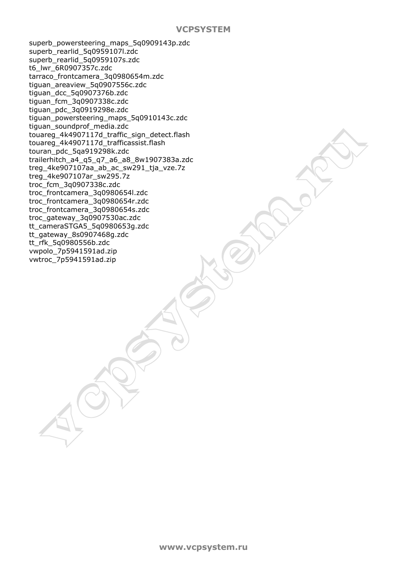superb\_powersteering\_maps\_5q0909143p.zdc superb\_rearlid\_5q0959107l.zdc superb\_rearlid\_5q0959107s.zdc t6\_lwr\_6R0907357c.zdc tarraco\_frontcamera\_3q0980654m.zdc tiguan\_areaview\_5q0907556c.zdc tiguan\_dcc\_5q0907376b.zdc tiguan\_fcm\_3q0907338c.zdc tiguan\_pdc\_3q0919298e.zdc tiguan\_powersteering\_maps\_5q0910143c.zdc tiguan\_soundprof\_media.zdc touareg\_4k4907117d\_traffic\_sign\_detect.flash touareg\_4k4907117d\_trafficassist.flash touran\_pdc\_5qa919298k.zdc trailerhitch\_a4\_q5\_q7\_a6\_a8\_8w1907383a.zdc treg\_4ke907107aa\_ab\_ac\_sw291\_tja\_vze.7z treg\_4ke907107ar\_sw295.7z troc\_fcm\_3q0907338c.zdc troc\_frontcamera\_3q0980654l.zdc troc\_frontcamera\_3q0980654r.zdc troc\_frontcamera\_3q0980654s.zdc troc\_gateway\_3q0907530ac.zdc tt\_cameraSTGA5\_5q0980653g.zdc tt\_gateway\_8s0907468g.zdc tt\_rfk\_5q0980556b.zdc vwpolo\_7p5941591ad.zip vwtroc\_7p5941591ad.zip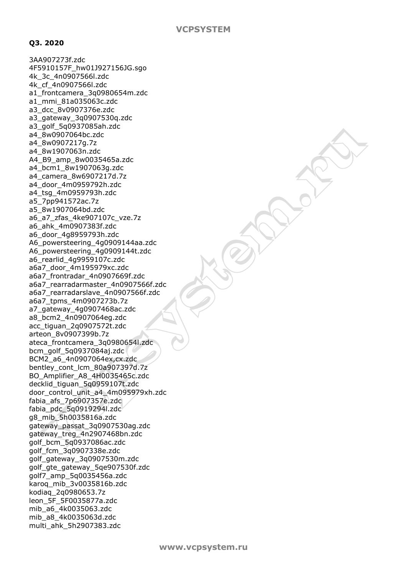## **Q3. 2020**

3AA907273f.zdc 4F5910157F\_hw01J927156JG.sgo 4k\_3c\_4n0907566l.zdc 4k\_cf\_4n0907566l.zdc a1 frontcamera 3q0980654m.zdc a1\_mmi\_81a035063c.zdc a3\_dcc\_8v0907376e.zdc a3\_gateway\_3q0907530q.zdc a3\_golf\_5q0937085ah.zdc a4\_8w0907064bc.zdc a4\_8w0907217g.7z a4\_8w1907063n.zdc A4\_B9\_amp\_8w0035465a.zdc a4\_bcm1\_8w1907063g.zdc a4\_camera\_8w6907217d.7z a4\_door\_4m0959792h.zdc a4\_tsg\_4m0959793h.zdc a5\_7pp941572ac.7z a5\_8w1907064bd.zdc a6\_a7\_zfas\_4ke907107c\_vze.7z a6\_ahk\_4m0907383f.zdc a6\_door\_4g8959793h.zdc A6\_powersteering\_4g0909144aa.zdc A6\_powersteering\_4g0909144t.zdc a6\_rearlid\_4g9959107c.zdc a6a7\_door\_4m195979xc.zdc a6a7\_frontradar\_4n0907669f.zdc a6a7\_rearradarmaster\_4n0907566f.zdc a6a7\_rearradarslave\_4n0907566f.zdc a6a7\_tpms\_4m0907273b.7z a7\_gateway\_4g0907468ac.zdc a8\_bcm2\_4n0907064eg.zdc acc\_tiguan\_2q0907572t.zdc arteon\_8v0907399b.7z ateca\_frontcamera\_3q0980654l.zdc bcm\_golf\_5q0937084aj.zdc BCM2\_a6\_4n0907064ex,cx.zdc bentley\_cont\_lcm\_80a907397d.7z BO\_Amplifier\_A8\_4H0035465c.zdc decklid\_tiguan\_5q0959107t.zdc door\_control\_unit\_a4\_4m095979xh.zdc fabia\_afs\_7p6907357e.zdc fabia\_pdc\_5q0919294l.zdc g8\_mib\_5h0035816a.zdc gateway\_passat\_3q0907530ag.zdc gateway\_treg\_4n2907468bn.zdc golf\_bcm\_5q0937086ac.zdc golf\_fcm\_3q0907338e.zdc golf\_gateway\_3q0907530m.zdc golf\_gte\_gateway\_5qe907530f.zdc golf7\_amp\_5q0035456a.zdc karoq\_mib\_3v0035816b.zdc kodiaq\_2q0980653.7z leon\_5F\_5F0035877a.zdc mib\_a6\_4k0035063.zdc mib\_a8\_4k0035063d.zdc multi\_ahk\_5h2907383.zdc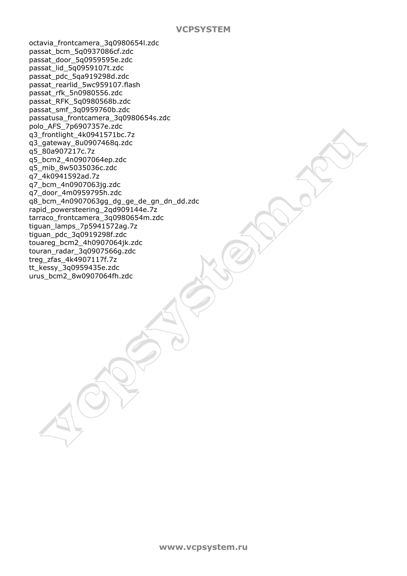octavia\_frontcamera\_3q0980654l.zdc passat\_bcm\_5q0937086cf.zdc passat\_door\_5q0959595e.zdc passat\_lid\_5q0959107t.zdc passat\_pdc\_5qa919298d.zdc passat\_rearlid\_5wc959107.flash passat\_rfk\_5n0980556.zdc passat\_RFK\_5q0980568b.zdc passat\_smf\_3q0959760b.zdc passatusa\_frontcamera\_3q0980654s.zdc polo\_AFS\_7p6907357e.zdc q3\_frontlight\_4k0941571bc.7z q3\_gateway\_8u0907468q.zdc q5\_80a907217c.7z q5\_bcm2\_4n0907064ep.zdc q5\_mib\_8w5035036c.zdc q7\_4k0941592ad.7z q7\_bcm\_4n0907063jg.zdc q7\_door\_4m0959795h.zdc q8\_bcm\_4n0907063gg\_dg\_ge\_de\_gn\_dn\_dd.zdc rapid\_powersteering\_2qd909144e.7z tarraco\_frontcamera\_3q0980654m.zdc tiguan\_lamps\_7p5941572ag.7z tiguan\_pdc\_3q0919298f.zdc touareg\_bcm2\_4h0907064jk.zdc touran\_radar\_3q0907566g.zdc treg\_zfas\_4k4907117f.7z tt\_kessy\_3q0959435e.zdc urus\_bcm2\_8w0907064fh.zdc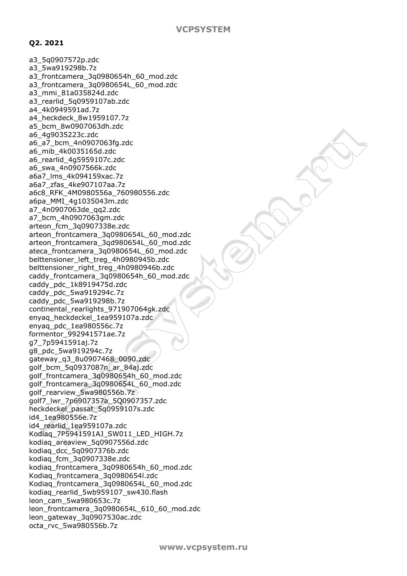# **Q2. 2021**

a3\_5q0907572p.zdc a3\_5wa919298b.7z a3\_frontcamera\_3q0980654h\_60\_mod.zdc a3\_frontcamera\_3q0980654L\_60\_mod.zdc a3\_mmi\_81a035824d.zdc a3 rearlid 5q0959107ab.zdc a4\_4k0949591ad.7z a4\_heckdeck\_8w1959107.7z a5\_bcm\_8w0907063dh.zdc a6\_4g9035223c.zdc a6\_a7\_bcm\_4n0907063fg.zdc a6\_mib\_4k0035165d.zdc a6\_rearlid\_4g5959107c.zdc a6\_swa\_4n0907566k.zdc a6a7\_lms\_4k094159xac.7z a6a7\_zfas\_4ke907107aa.7z a6c8\_RFK\_4M0980556a\_760980556.zdc a6pa\_MMI\_4g1035043m.zdc a7\_4n0907063de\_qq2.zdc a7\_bcm\_4h0907063gm.zdc arteon\_fcm\_3q0907338e.zdc arteon\_frontcamera\_3q0980654L\_60\_mod.zdc arteon\_frontcamera\_3qd980654L\_60\_mod.zdc ateca\_frontcamera\_3q0980654L\_60\_mod.zdc belttensioner\_left\_treg\_4h0980945b.zdc belttensioner\_right\_treg\_4h0980946b.zdc caddy\_frontcamera\_3q0980654h\_60\_mod.zdc caddy\_pdc\_1k8919475d.zdc caddy\_pdc\_5wa919294c.7z caddy\_pdc\_5wa919298b.7z continental\_rearlights\_971907064gk.zdc enyaq\_heckdeckel\_1ea959107a.zdc enyaq\_pdc\_1ea980556c.7z formentor\_992941571ae.7z g7\_7p5941591aj.7z g8\_pdc\_5wa919294c.7z gateway\_q3\_8u0907468\_0090.zdc golf\_bcm\_5q0937087n\_ar\_84aj.zdc golf\_frontcamera\_3q0980654h\_60\_mod.zdc golf\_frontcamera\_3q0980654L\_60\_mod.zdc golf\_rearview\_5wa980556b.7z golf7\_lwr\_7p6907357a\_5Q0907357.zdc heckdeckel\_passat\_5q0959107s.zdc id4\_1ea980556e.7z id4\_rearlid\_1ea959107a.zdc Kodiaq\_7P5941591AJ\_SW011\_LED\_HIGH.7z kodiaq\_areaview\_5q0907556d.zdc kodiaq\_dcc\_5q0907376b.zdc kodiaq\_fcm\_3q0907338e.zdc kodiaq\_frontcamera\_3q0980654h\_60\_mod.zdc Kodiaq\_frontcamera\_3q0980654l.zdc Kodiag frontcamera 3q0980654L 60 mod.zdc kodiag\_rearlid\_5wb959107\_sw430.flash leon\_cam\_5wa980653c.7z leon\_frontcamera\_3q0980654L\_610\_60\_mod.zdc leon\_gateway\_3q0907530ac.zdc octa\_rvc\_5wa980556b.7z